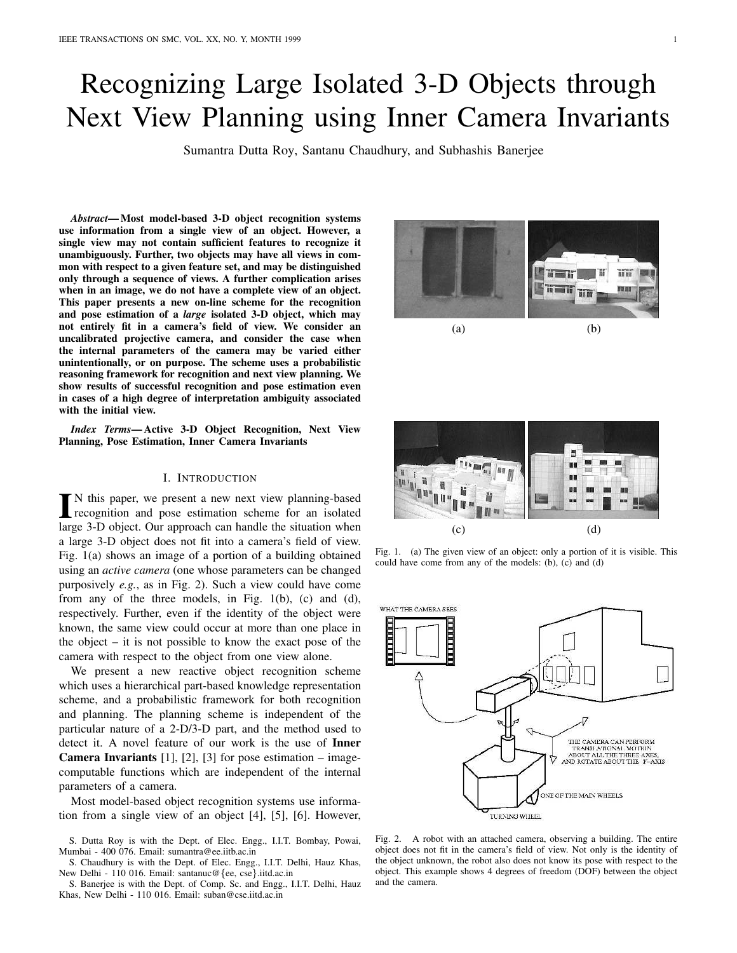# Recognizing Large Isolated 3-D Objects through Next View Planning using Inner Camera Invariants

Sumantra Dutta Roy, Santanu Chaudhury, and Subhashis Banerjee

*Abstract***— Most model-based 3-D object recognition systems use information from a single view of an object. However, a single view may not contain sufficient features to recognize it unambiguously. Further, two objects may have all views in common with respect to a given feature set, and may be distinguished only through a sequence of views. A further complication arises when in an image, we do not have a complete view of an object. This paper presents a new on-line scheme for the recognition and pose estimation of a** *large* **isolated 3-D object, which may not entirely fit in a camera's field of view. We consider an uncalibrated projective camera, and consider the case when the internal parameters of the camera may be varied either unintentionally, or on purpose. The scheme uses a probabilistic reasoning framework for recognition and next view planning. We show results of successful recognition and pose estimation even in cases of a high degree of interpretation ambiguity associated with the initial view.**

*Index Terms***— Active 3-D Object Recognition, Next View Planning, Pose Estimation, Inner Camera Invariants**

# I. INTRODUCTION

IN this paper, we present a new next view planning-based<br>recognition and pose estimation scheme for an isolated N this paper, we present a new next view planning-based large 3-D object. Our approach can handle the situation when a large 3-D object does not fit into a camera's field of view. Fig. 1(a) shows an image of a portion of a building obtained using an *active camera* (one whose parameters can be changed purposively *e.g.*, as in Fig. 2). Such a view could have come from any of the three models, in Fig. 1(b), (c) and (d), respectively. Further, even if the identity of the object were known, the same view could occur at more than one place in the object – it is not possible to know the exact pose of the camera with respect to the object from one view alone.

We present a new reactive object recognition scheme which uses a hierarchical part-based knowledge representation scheme, and a probabilistic framework for both recognition and planning. The planning scheme is independent of the particular nature of a 2-D/3-D part, and the method used to detect it. A novel feature of our work is the use of **Inner Camera Invariants** [1], [2], [3] for pose estimation – imagecomputable functions which are independent of the internal parameters of a camera.

Most model-based object recognition systems use information from a single view of an object [4], [5], [6]. However,





Fig. 1. (a) The given view of an object: only a portion of it is visible. This could have come from any of the models: (b), (c) and (d)



Fig. 2. A robot with an attached camera, observing a building. The entire object does not fit in the camera's field of view. Not only is the identity of the object unknown, the robot also does not know its pose with respect to the object. This example shows 4 degrees of freedom (DOF) between the object and the camera.

S. Dutta Roy is with the Dept. of Elec. Engg., I.I.T. Bombay, Powai, Mumbai - 400 076. Email: sumantra@ee.iitb.ac.in

S. Chaudhury is with the Dept. of Elec. Engg., I.I.T. Delhi, Hauz Khas, New Delhi - 110 016. Email: santanuc@{ee, cse}.iitd.ac.in

S. Banerjee is with the Dept. of Comp. Sc. and Engg., I.I.T. Delhi, Hauz Khas, New Delhi - 110 016. Email: suban@cse.iitd.ac.in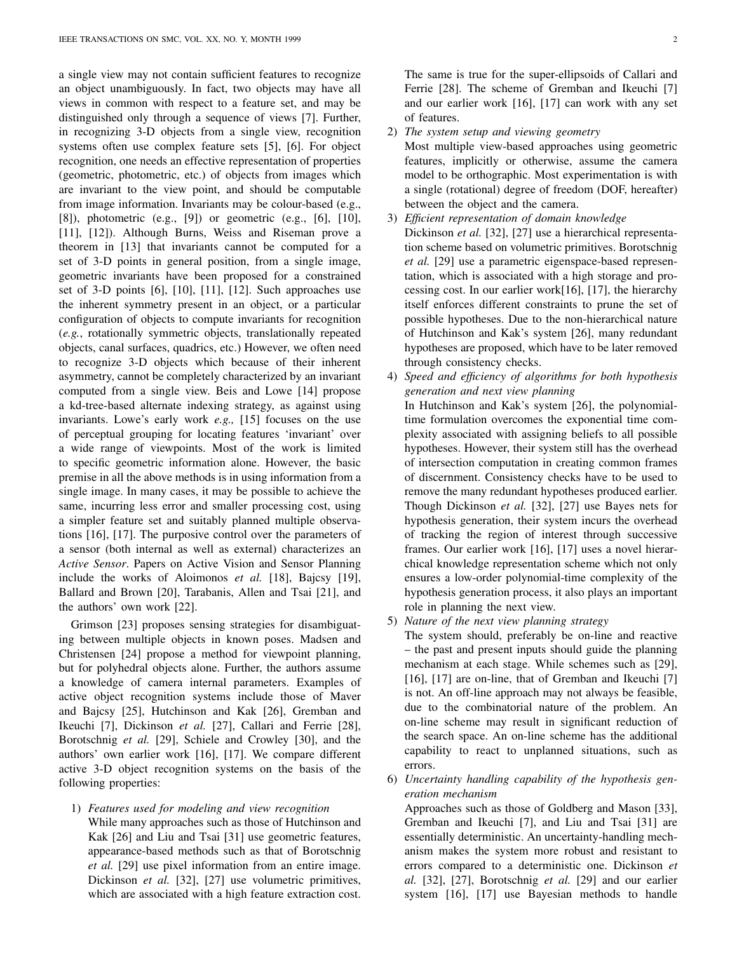a single view may not contain sufficient features to recognize an object unambiguously. In fact, two objects may have all views in common with respect to a feature set, and may be distinguished only through a sequence of views [7]. Further, in recognizing 3-D objects from a single view, recognition systems often use complex feature sets [5], [6]. For object recognition, one needs an effective representation of properties (geometric, photometric, etc.) of objects from images which are invariant to the view point, and should be computable from image information. Invariants may be colour-based (e.g., [8]), photometric (e.g., [9]) or geometric (e.g., [6], [10], [11], [12]). Although Burns, Weiss and Riseman prove a theorem in [13] that invariants cannot be computed for a set of 3-D points in general position, from a single image, geometric invariants have been proposed for a constrained set of 3-D points [6], [10], [11], [12]. Such approaches use the inherent symmetry present in an object, or a particular configuration of objects to compute invariants for recognition (*e.g.*, rotationally symmetric objects, translationally repeated objects, canal surfaces, quadrics, etc.) However, we often need to recognize 3-D objects which because of their inherent asymmetry, cannot be completely characterized by an invariant computed from a single view. Beis and Lowe [14] propose a kd-tree-based alternate indexing strategy, as against using invariants. Lowe's early work *e.g.,* [15] focuses on the use of perceptual grouping for locating features 'invariant' over a wide range of viewpoints. Most of the work is limited to specific geometric information alone. However, the basic premise in all the above methods is in using information from a single image. In many cases, it may be possible to achieve the same, incurring less error and smaller processing cost, using a simpler feature set and suitably planned multiple observations [16], [17]. The purposive control over the parameters of a sensor (both internal as well as external) characterizes an *Active Sensor*. Papers on Active Vision and Sensor Planning include the works of Aloimonos *et al.* [18], Bajcsy [19], Ballard and Brown [20], Tarabanis, Allen and Tsai [21], and the authors' own work [22].

Grimson [23] proposes sensing strategies for disambiguating between multiple objects in known poses. Madsen and Christensen [24] propose a method for viewpoint planning, but for polyhedral objects alone. Further, the authors assume a knowledge of camera internal parameters. Examples of active object recognition systems include those of Maver and Bajcsy [25], Hutchinson and Kak [26], Gremban and Ikeuchi [7], Dickinson *et al.* [27], Callari and Ferrie [28], Borotschnig *et al.* [29], Schiele and Crowley [30], and the authors' own earlier work [16], [17]. We compare different active 3-D object recognition systems on the basis of the following properties:

1) *Features used for modeling and view recognition* While many approaches such as those of Hutchinson and Kak [26] and Liu and Tsai [31] use geometric features, appearance-based methods such as that of Borotschnig *et al.* [29] use pixel information from an entire image. Dickinson *et al.* [32], [27] use volumetric primitives, which are associated with a high feature extraction cost.

The same is true for the super-ellipsoids of Callari and Ferrie [28]. The scheme of Gremban and Ikeuchi [7] and our earlier work [16], [17] can work with any set of features.

2) *The system setup and viewing geometry*

Most multiple view-based approaches using geometric features, implicitly or otherwise, assume the camera model to be orthographic. Most experimentation is with a single (rotational) degree of freedom (DOF, hereafter) between the object and the camera.

- 3) *Efficient representation of domain knowledge* Dickinson *et al.* [32], [27] use a hierarchical representation scheme based on volumetric primitives. Borotschnig *et al.* [29] use a parametric eigenspace-based representation, which is associated with a high storage and processing cost. In our earlier work[16], [17], the hierarchy itself enforces different constraints to prune the set of possible hypotheses. Due to the non-hierarchical nature of Hutchinson and Kak's system [26], many redundant hypotheses are proposed, which have to be later removed through consistency checks.
- 4) *Speed and efficiency of algorithms for both hypothesis generation and next view planning* In Hutchinson and Kak's system [26], the polynomialtime formulation overcomes the exponential time complexity associated with assigning beliefs to all possible hypotheses. However, their system still has the overhead of intersection computation in creating common frames of discernment. Consistency checks have to be used to remove the many redundant hypotheses produced earlier. Though Dickinson *et al.* [32], [27] use Bayes nets for hypothesis generation, their system incurs the overhead of tracking the region of interest through successive frames. Our earlier work [16], [17] uses a novel hierarchical knowledge representation scheme which not only ensures a low-order polynomial-time complexity of the hypothesis generation process, it also plays an important role in planning the next view.
- 5) *Nature of the next view planning strategy*

The system should, preferably be on-line and reactive – the past and present inputs should guide the planning mechanism at each stage. While schemes such as [29], [16], [17] are on-line, that of Gremban and Ikeuchi [7] is not. An off-line approach may not always be feasible, due to the combinatorial nature of the problem. An on-line scheme may result in significant reduction of the search space. An on-line scheme has the additional capability to react to unplanned situations, such as errors.

6) *Uncertainty handling capability of the hypothesis generation mechanism*

Approaches such as those of Goldberg and Mason [33], Gremban and Ikeuchi [7], and Liu and Tsai [31] are essentially deterministic. An uncertainty-handling mechanism makes the system more robust and resistant to errors compared to a deterministic one. Dickinson *et al.* [32], [27], Borotschnig *et al.* [29] and our earlier system [16], [17] use Bayesian methods to handle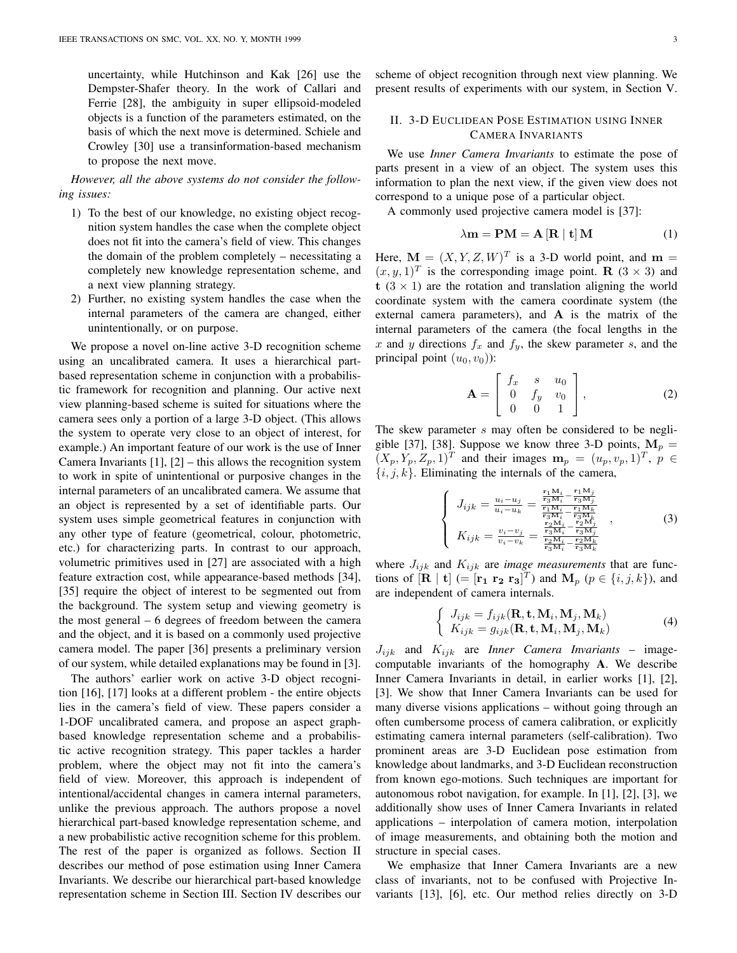uncertainty, while Hutchinson and Kak [26] use the Dempster-Shafer theory. In the work of Callari and Ferrie [28], the ambiguity in super ellipsoid-modeled objects is a function of the parameters estimated, on the basis of which the next move is determined. Schiele and Crowley [30] use a transinformation-based mechanism to propose the next move.

*However, all the above systems do not consider the following issues:*

- 1) To the best of our knowledge, no existing object recognition system handles the case when the complete object does not fit into the camera's field of view. This changes the domain of the problem completely – necessitating a completely new knowledge representation scheme, and a next view planning strategy.
- 2) Further, no existing system handles the case when the internal parameters of the camera are changed, either unintentionally, or on purpose.

We propose a novel on-line active 3-D recognition scheme using an uncalibrated camera. It uses a hierarchical partbased representation scheme in conjunction with a probabilistic framework for recognition and planning. Our active next view planning-based scheme is suited for situations where the camera sees only a portion of a large 3-D object. (This allows the system to operate very close to an object of interest, for example.) An important feature of our work is the use of Inner Camera Invariants  $[1]$ ,  $[2]$  – this allows the recognition system to work in spite of unintentional or purposive changes in the internal parameters of an uncalibrated camera. We assume that an object is represented by a set of identifiable parts. Our system uses simple geometrical features in conjunction with any other type of feature (geometrical, colour, photometric, etc.) for characterizing parts. In contrast to our approach, volumetric primitives used in [27] are associated with a high feature extraction cost, while appearance-based methods [34], [35] require the object of interest to be segmented out from the background. The system setup and viewing geometry is the most general – 6 degrees of freedom between the camera and the object, and it is based on a commonly used projective camera model. The paper [36] presents a preliminary version of our system, while detailed explanations may be found in [3].

The authors' earlier work on active 3-D object recognition [16], [17] looks at a different problem - the entire objects lies in the camera's field of view. These papers consider a 1-DOF uncalibrated camera, and propose an aspect graphbased knowledge representation scheme and a probabilistic active recognition strategy. This paper tackles a harder problem, where the object may not fit into the camera's field of view. Moreover, this approach is independent of intentional/accidental changes in camera internal parameters, unlike the previous approach. The authors propose a novel hierarchical part-based knowledge representation scheme, and a new probabilistic active recognition scheme for this problem. The rest of the paper is organized as follows. Section II describes our method of pose estimation using Inner Camera Invariants. We describe our hierarchical part-based knowledge representation scheme in Section III. Section IV describes our

scheme of object recognition through next view planning. We present results of experiments with our system, in Section V.

# II. 3-D EUCLIDEAN POSE ESTIMATION USING INNER CAMERA INVARIANTS

We use *Inner Camera Invariants* to estimate the pose of parts present in a view of an object. The system uses this information to plan the next view, if the given view does not correspond to a unique pose of a particular object.

A commonly used projective camera model is [37]:

$$
\lambda \mathbf{m} = \mathbf{P} \mathbf{M} = \mathbf{A} \left[ \mathbf{R} \mid \mathbf{t} \right] \mathbf{M} \tag{1}
$$

Here,  $\mathbf{M} = (X, Y, Z, W)^T$  is a 3-D world point, and  $\mathbf{m} =$  $(x, y, 1)^T$  is the corresponding image point. R (3 × 3) and t  $(3 \times 1)$  are the rotation and translation aligning the world coordinate system with the camera coordinate system (the external camera parameters), and A is the matrix of the internal parameters of the camera (the focal lengths in the x and y directions  $f_x$  and  $f_y$ , the skew parameter s, and the principal point  $(u_0, v_0)$ :

$$
\mathbf{A} = \left[ \begin{array}{ccc} f_x & s & u_0 \\ 0 & f_y & v_0 \\ 0 & 0 & 1 \end{array} \right],
$$
 (2)

The skew parameter s may often be considered to be negligible [37], [38]. Suppose we know three 3-D points,  $M_p =$  $(X_p, Y_p, Z_p, 1)^T$  and their images  $\mathbf{m}_p = (u_p, v_p, 1)^T$ ,  $p \in$  $\{i, j, k\}$ . Eliminating the internals of the camera,

$$
\begin{cases}\nJ_{ijk} = \frac{u_i - u_j}{u_i - u_k} = \frac{\frac{\mathbf{r}_1 \mathbf{M}_i}{\mathbf{r}_3 \mathbf{M}_i} - \frac{\mathbf{r}_1 \mathbf{M}_j}{\mathbf{r}_3 \mathbf{M}_j}}{\frac{\mathbf{r}_1 \mathbf{M}_i}{\mathbf{r}_3 \mathbf{M}_i} - \frac{\mathbf{r}_1 \mathbf{M}_k}{\mathbf{r}_3 \mathbf{M}_k}} \\
K_{ijk} = \frac{v_i - v_j}{v_i - v_k} = \frac{\frac{\mathbf{r}_2 \mathbf{M}_i}{\mathbf{r}_3 \mathbf{M}_i} - \frac{\mathbf{r}_2 \mathbf{M}_j}{\mathbf{r}_3 \mathbf{M}_i}}{\frac{\mathbf{r}_2 \mathbf{M}_i}{\mathbf{r}_3 \mathbf{M}_k} - \frac{\mathbf{r}_2 \mathbf{M}_k}{\mathbf{r}_3 \mathbf{M}_k}}\n\end{cases} (3)
$$

where  $J_{ijk}$  and  $K_{ijk}$  are *image measurements* that are functions of  $[\mathbf{R} | \mathbf{t}]$  (=  $[\mathbf{r_1} \ \mathbf{r_2} \ \mathbf{r_3}]^T$ ) and  $\mathbf{M}_p$  ( $p \in \{i, j, k\}$ ), and are independent of camera internals.

$$
\begin{cases} J_{ijk} = f_{ijk}(\mathbf{R}, \mathbf{t}, \mathbf{M}_i, \mathbf{M}_j, \mathbf{M}_k) \\ K_{ijk} = g_{ijk}(\mathbf{R}, \mathbf{t}, \mathbf{M}_i, \mathbf{M}_j, \mathbf{M}_k) \end{cases}
$$
(4)

 $J_{ijk}$  and  $K_{ijk}$  are *Inner Camera Invariants* – imagecomputable invariants of the homography **A**. We describe Inner Camera Invariants in detail, in earlier works [1], [2], [3]. We show that Inner Camera Invariants can be used for many diverse visions applications – without going through an often cumbersome process of camera calibration, or explicitly estimating camera internal parameters (self-calibration). Two prominent areas are 3-D Euclidean pose estimation from knowledge about landmarks, and 3-D Euclidean reconstruction from known ego-motions. Such techniques are important for autonomous robot navigation, for example. In [1], [2], [3], we additionally show uses of Inner Camera Invariants in related applications – interpolation of camera motion, interpolation of image measurements, and obtaining both the motion and structure in special cases.

We emphasize that Inner Camera Invariants are a new class of invariants, not to be confused with Projective Invariants [13], [6], etc. Our method relies directly on 3-D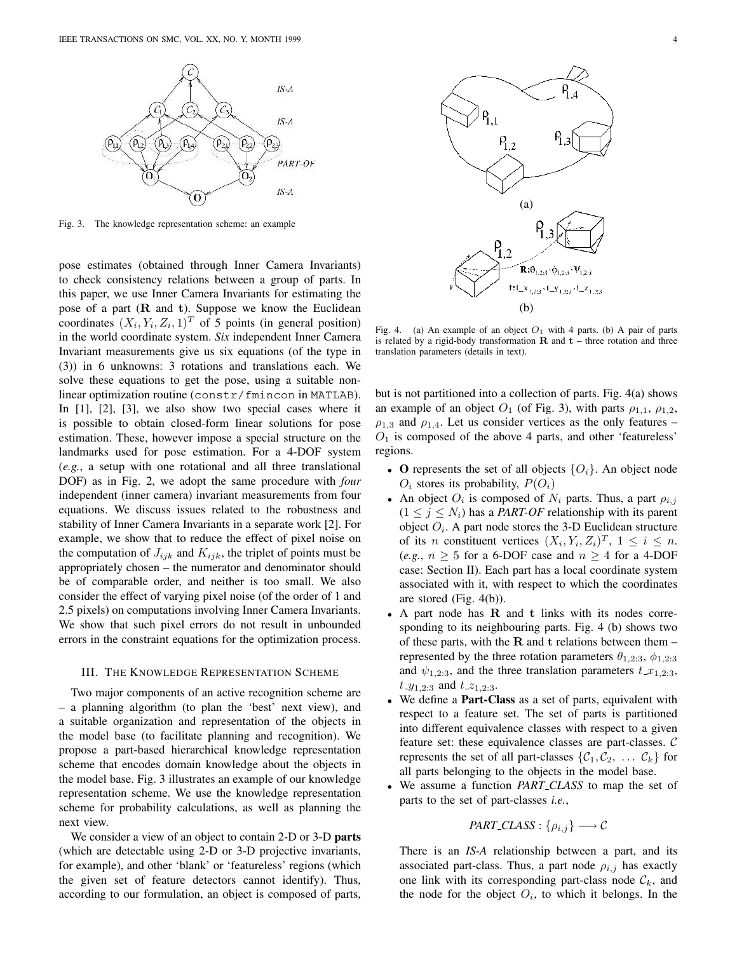

Fig. 3. The knowledge representation scheme: an example

pose estimates (obtained through Inner Camera Invariants) to check consistency relations between a group of parts. In this paper, we use Inner Camera Invariants for estimating the pose of a part (R and t). Suppose we know the Euclidean coordinates  $(X_i, Y_i, Z_i, 1)^T$  of 5 points (in general position) in the world coordinate system. *Six* independent Inner Camera Invariant measurements give us six equations (of the type in (3)) in 6 unknowns: 3 rotations and translations each. We solve these equations to get the pose, using a suitable nonlinear optimization routine (constr/fmincon in MATLAB). In [1], [2], [3], we also show two special cases where it is possible to obtain closed-form linear solutions for pose estimation. These, however impose a special structure on the landmarks used for pose estimation. For a 4-DOF system (*e.g.*, a setup with one rotational and all three translational DOF) as in Fig. 2, we adopt the same procedure with *four* independent (inner camera) invariant measurements from four equations. We discuss issues related to the robustness and stability of Inner Camera Invariants in a separate work [2]. For example, we show that to reduce the effect of pixel noise on the computation of  $J_{ijk}$  and  $K_{ijk}$ , the triplet of points must be appropriately chosen – the numerator and denominator should be of comparable order, and neither is too small. We also consider the effect of varying pixel noise (of the order of 1 and 2.5 pixels) on computations involving Inner Camera Invariants. We show that such pixel errors do not result in unbounded errors in the constraint equations for the optimization process.

# III. THE KNOWLEDGE REPRESENTATION SCHEME

Two major components of an active recognition scheme are – a planning algorithm (to plan the 'best' next view), and a suitable organization and representation of the objects in the model base (to facilitate planning and recognition). We propose a part-based hierarchical knowledge representation scheme that encodes domain knowledge about the objects in the model base. Fig. 3 illustrates an example of our knowledge representation scheme. We use the knowledge representation scheme for probability calculations, as well as planning the next view.

We consider a view of an object to contain 2-D or 3-D **parts** (which are detectable using 2-D or 3-D projective invariants, for example), and other 'blank' or 'featureless' regions (which the given set of feature detectors cannot identify). Thus, according to our formulation, an object is composed of parts,



Fig. 4. (a) An example of an object  $O_1$  with 4 parts. (b) A pair of parts is related by a rigid-body transformation  $\bf{R}$  and  $\bf{t}$  – three rotation and three translation parameters (details in text).

but is not partitioned into a collection of parts. Fig. 4(a) shows an example of an object  $O_1$  (of Fig. 3), with parts  $\rho_{1,1}, \rho_{1,2}$ ,  $\rho_{1,3}$  and  $\rho_{1,4}$ . Let us consider vertices as the only features –  $O<sub>1</sub>$  is composed of the above 4 parts, and other 'featureless' regions.

- **O** represents the set of all objects  $\{O_i\}$ . An object node  $O_i$  stores its probability,  $P(O_i)$
- An object  $O_i$  is composed of  $N_i$  parts. Thus, a part  $\rho_{i,j}$  $(1 \leq j \leq N_i)$  has a *PART-OF* relationship with its parent object  $O_i$ . A part node stores the 3-D Euclidean structure of its *n* constituent vertices  $(X_i, Y_i, Z_i)^T$ ,  $1 \leq i \leq n$ .  $(e.g., n \geq 5$  for a 6-DOF case and  $n \geq 4$  for a 4-DOF case: Section II). Each part has a local coordinate system associated with it, with respect to which the coordinates are stored (Fig. 4(b)).
- A part node has R and t links with its nodes corresponding to its neighbouring parts. Fig. 4 (b) shows two of these parts, with the  $R$  and  $t$  relations between them – represented by the three rotation parameters  $\theta_{1,2:3}$ ,  $\phi_{1,2:3}$ and  $\psi_{1,2:3}$ , and the three translation parameters  $t_{-}x_{1,2:3}$ ,  $t_{-}y_{1,2:3}$  and  $t_{-}z_{1,2:3}$ .
- We define a **Part-Class** as a set of parts, equivalent with respect to a feature set. The set of parts is partitioned into different equivalence classes with respect to a given feature set: these equivalence classes are part-classes. C represents the set of all part-classes  $\{C_1, C_2, \ldots, C_k\}$  for all parts belonging to the objects in the model base.
- We assume a function *PART CLASS* to map the set of parts to the set of part-classes *i.e.*,

$$
PART\_CLASS: \{\rho_{i,j}\} \longrightarrow \mathcal{C}
$$

There is an *IS-A* relationship between a part, and its associated part-class. Thus, a part node  $\rho_{i,j}$  has exactly one link with its corresponding part-class node  $\mathcal{C}_k$ , and the node for the object  $O_i$ , to which it belongs. In the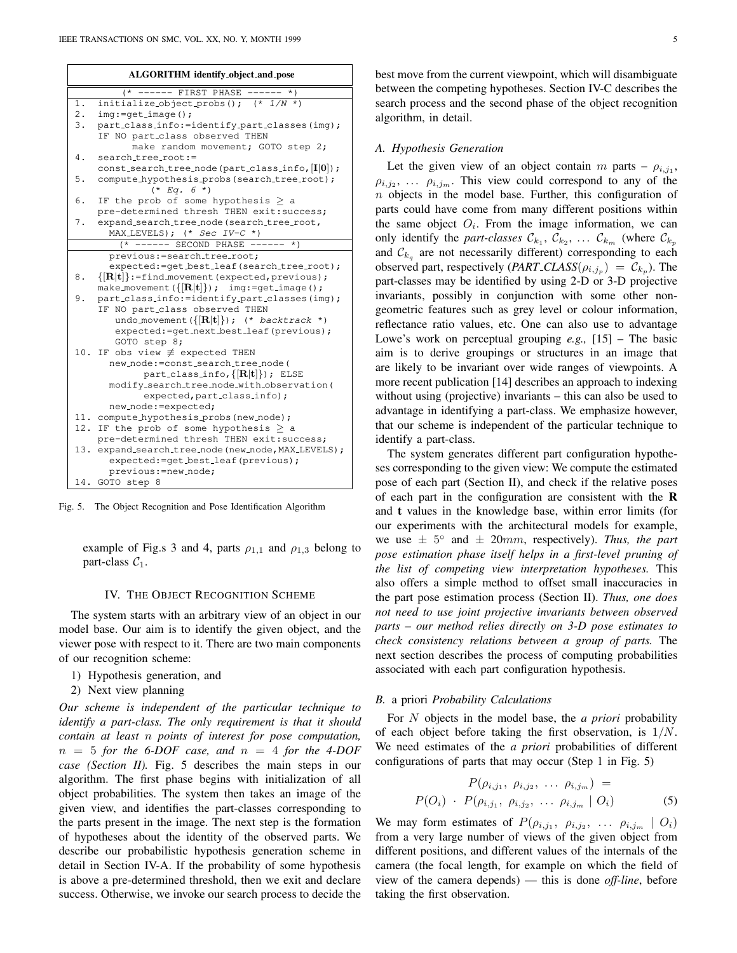| ALGORITHM identify_object_and_pose |                                                                                |
|------------------------------------|--------------------------------------------------------------------------------|
|                                    | ---- FIRST PHASE<br>$^{\star}$ )                                               |
| $1$ .                              | initialize_object_probs(); $(* 1/N *)$                                         |
| 2.                                 | $img:=qet\_image()$ ;                                                          |
| 3.                                 | part_class_info:=identify_part_classes(img);<br>IF NO part_class observed THEN |
|                                    | make random movement; GOTO step 2;                                             |
| 4.                                 | search_tree_root:=                                                             |
|                                    | $const$ -search-tree-node (part-class-info, $[I 0]$ );                         |
| 5.                                 | compute_hypothesis_probs(search_tree_root);<br>$(* Eq. 6 *)$                   |
| 6.                                 | IF the prob of some hypothesis $\geq$ a                                        |
|                                    | pre-determined thresh THEN exit: success;                                      |
| 7.                                 | expand_search_tree_node(search_tree_root,<br>MAX_LEVELS); $(*$ Sec IV-C *)     |
|                                    | $(*$ ------ SECOND PHASE ------ *)                                             |
|                                    | previous: = search_tree_root;                                                  |
|                                    | expected: = qet_best_leaf(search_tree_root);                                   |
| 8.                                 | $\{ \mathbf{R} \mathbf{t} \}$ :=find_movement(expected,previous);              |
|                                    | make_movement( $\{[R t]\}$ ); img:=get_image();                                |
| 9.                                 | part_class_info:=identify_part_classes(img);                                   |
|                                    | IF NO part_class observed THEN                                                 |
|                                    | undo_movement( $\{[R t]\}$ ); (* backtrack *)                                  |
|                                    | expected:=get_next_best_leaf(previous);                                        |
|                                    | GOTO step 8;                                                                   |
| 10.                                | IF obs view $\not\equiv$ expected THEN                                         |
|                                    | new_node: = const_search_tree_node(                                            |
|                                    | part_class_info, $\{[R t]\}$ ); ELSE                                           |
|                                    | modify_search_tree_node_with_observation(                                      |
|                                    | expected, part_class_info);                                                    |
|                                    | new_node: = expected;                                                          |
|                                    | 11. compute_hypothesis_probs(new_node);                                        |
| 12.                                | IF the prob of some hypothesis $>$ a                                           |
|                                    | pre-determined thresh THEN exit: success;                                      |
|                                    | 13. expand_search_tree_node(new_node, MAX_LEVELS);                             |
|                                    | expected: = qet_best_leaf(previous);                                           |
|                                    | previous: = new_node;                                                          |
|                                    | 14. GOTO step 8                                                                |

Fig. 5. The Object Recognition and Pose Identification Algorithm

example of Fig.s 3 and 4, parts  $\rho_{1,1}$  and  $\rho_{1,3}$  belong to part-class  $C_1$ .

## IV. THE OBJECT RECOGNITION SCHEME

The system starts with an arbitrary view of an object in our model base. Our aim is to identify the given object, and the viewer pose with respect to it. There are two main components of our recognition scheme:

- 1) Hypothesis generation, and
- 2) Next view planning

*Our scheme is independent of the particular technique to identify a part-class. The only requirement is that it should contain at least* n *points of interest for pose computation,*  $n = 5$  *for the 6-DOF case, and*  $n = 4$  *for the 4-DOF case (Section II).* Fig. 5 describes the main steps in our algorithm. The first phase begins with initialization of all object probabilities. The system then takes an image of the given view, and identifies the part-classes corresponding to the parts present in the image. The next step is the formation of hypotheses about the identity of the observed parts. We describe our probabilistic hypothesis generation scheme in detail in Section IV-A. If the probability of some hypothesis is above a pre-determined threshold, then we exit and declare success. Otherwise, we invoke our search process to decide the best move from the current viewpoint, which will disambiguate between the competing hypotheses. Section IV-C describes the search process and the second phase of the object recognition algorithm, in detail.

#### *A. Hypothesis Generation*

Let the given view of an object contain m parts –  $\rho_{i,j_1}$ ,  $\rho_{i,j_2}, \ldots, \rho_{i,j_m}$ . This view could correspond to any of the n objects in the model base. Further, this configuration of parts could have come from many different positions within the same object  $O_i$ . From the image information, we can only identify the *part-classes*  $\mathcal{C}_{k_1}$ ,  $\mathcal{C}_{k_2}$ , ...  $\mathcal{C}_{k_m}$  (where  $\mathcal{C}_{k_p}$ and  $\mathcal{C}_{k_q}$  are not necessarily different) corresponding to each observed part, respectively  $(PART\_CLASS(\rho_{i,j_p}) = C_{k_p})$ . The part-classes may be identified by using 2-D or 3-D projective invariants, possibly in conjunction with some other nongeometric features such as grey level or colour information, reflectance ratio values, etc. One can also use to advantage Lowe's work on perceptual grouping *e.g.,* [15] – The basic aim is to derive groupings or structures in an image that are likely to be invariant over wide ranges of viewpoints. A more recent publication [14] describes an approach to indexing without using (projective) invariants – this can also be used to advantage in identifying a part-class. We emphasize however, that our scheme is independent of the particular technique to identify a part-class.

The system generates different part configuration hypotheses corresponding to the given view: We compute the estimated pose of each part (Section II), and check if the relative poses of each part in the configuration are consistent with the **R** and **t** values in the knowledge base, within error limits (for our experiments with the architectural models for example, we use  $\pm$  5° and  $\pm$  20mm, respectively). *Thus, the part pose estimation phase itself helps in a first-level pruning of the list of competing view interpretation hypotheses.* This also offers a simple method to offset small inaccuracies in the part pose estimation process (Section II). *Thus, one does not need to use joint projective invariants between observed parts – our method relies directly on 3-D pose estimates to check consistency relations between a group of parts.* The next section describes the process of computing probabilities associated with each part configuration hypothesis.

## *B.* a priori *Probability Calculations*

For N objects in the model base, the *a priori* probability of each object before taking the first observation, is  $1/N$ . We need estimates of the *a priori* probabilities of different configurations of parts that may occur (Step 1 in Fig. 5)

$$
P(\rho_{i,j_1}, \rho_{i,j_2}, \dots \rho_{i,j_m}) =
$$
  

$$
P(O_i) \cdot P(\rho_{i,j_1}, \rho_{i,j_2}, \dots \rho_{i,j_m} | O_i)
$$
 (5)

We may form estimates of  $P(\rho_{i,j_1}, \rho_{i,j_2}, \ldots \rho_{i,j_m} | O_i)$ from a very large number of views of the given object from different positions, and different values of the internals of the camera (the focal length, for example on which the field of view of the camera depends) — this is done *off-line*, before taking the first observation.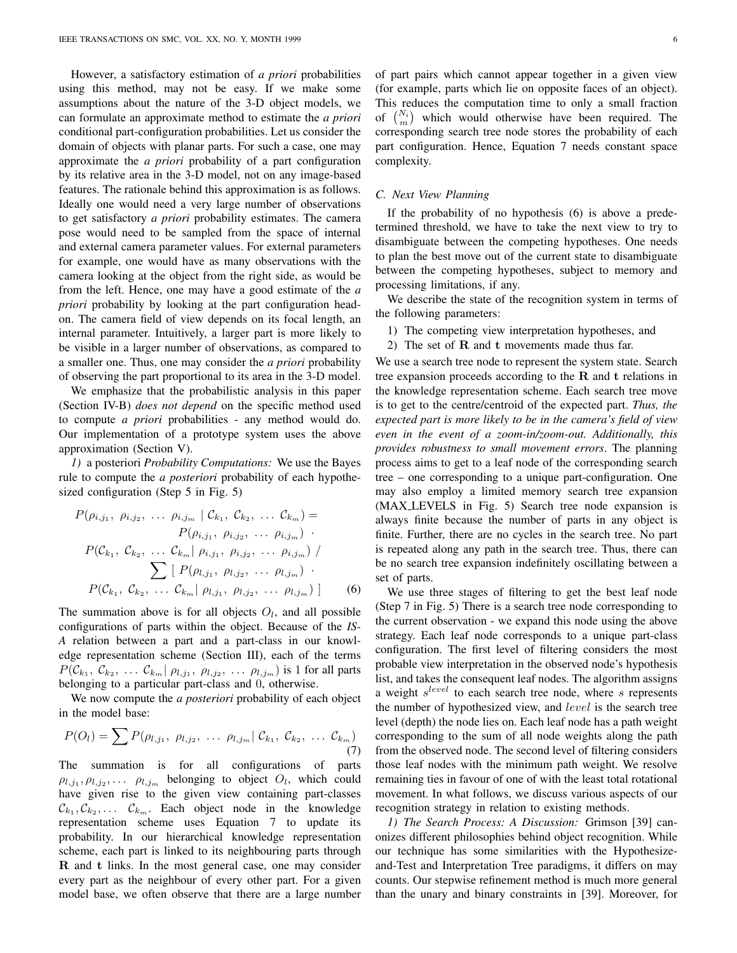However, a satisfactory estimation of *a priori* probabilities using this method, may not be easy. If we make some assumptions about the nature of the 3-D object models, we can formulate an approximate method to estimate the *a priori* conditional part-configuration probabilities. Let us consider the domain of objects with planar parts. For such a case, one may approximate the *a priori* probability of a part configuration by its relative area in the 3-D model, not on any image-based features. The rationale behind this approximation is as follows. Ideally one would need a very large number of observations to get satisfactory *a priori* probability estimates. The camera pose would need to be sampled from the space of internal and external camera parameter values. For external parameters for example, one would have as many observations with the camera looking at the object from the right side, as would be from the left. Hence, one may have a good estimate of the *a priori* probability by looking at the part configuration headon. The camera field of view depends on its focal length, an internal parameter. Intuitively, a larger part is more likely to be visible in a larger number of observations, as compared to a smaller one. Thus, one may consider the *a priori* probability of observing the part proportional to its area in the 3-D model.

We emphasize that the probabilistic analysis in this paper (Section IV-B) *does not depend* on the specific method used to compute *a priori* probabilities - any method would do. Our implementation of a prototype system uses the above approximation (Section V).

*1)* a posteriori *Probability Computations:* We use the Bayes rule to compute the *a posteriori* probability of each hypothesized configuration (Step 5 in Fig. 5)

$$
P(\rho_{i,j_1}, \rho_{i,j_2}, \dots \rho_{i,j_m} | C_{k_1}, C_{k_2}, \dots C_{k_m}) =
$$
  
\n
$$
P(\rho_{i,j_1}, \rho_{i,j_2}, \dots \rho_{i,j_m})
$$
  
\n
$$
P(C_{k_1}, C_{k_2}, \dots C_{k_m} | \rho_{i,j_1}, \rho_{i,j_2}, \dots \rho_{i,j_m}) / \sum_{\sum} [P(\rho_{l,j_1}, \rho_{l,j_2}, \dots \rho_{l,j_m})]
$$
  
\n
$$
P(C_{k_1}, C_{k_2}, \dots C_{k_m} | \rho_{l,j_1}, \rho_{l,j_2}, \dots \rho_{l,j_m})]
$$
 (6)

The summation above is for all objects  $O_l$ , and all possible configurations of parts within the object. Because of the *IS-A* relation between a part and a part-class in our knowledge representation scheme (Section III), each of the terms  $P(\mathcal{C}_{k_1}, \mathcal{C}_{k_2}, \ldots \mathcal{C}_{k_m} | \rho_{l,j_1}, \rho_{l,j_2}, \ldots \rho_{l,j_m})$  is 1 for all parts belonging to a particular part-class and 0, otherwise.

We now compute the *a posteriori* probability of each object in the model base:

$$
P(O_l) = \sum P(\rho_{l,j_1}, \rho_{l,j_2}, \ldots \rho_{l,j_m} | C_{k_1}, C_{k_2}, \ldots C_{k_m})
$$
\n(7)

The summation is for all configurations of parts  $\rho_{l,j_1}, \rho_{l,j_2}, \ldots \rho_{l,j_m}$  belonging to object  $O_l$ , which could have given rise to the given view containing part-classes  $\mathcal{C}_{k_1}, \mathcal{C}_{k_2}, \ldots \mathcal{C}_{k_m}$ . Each object node in the knowledge representation scheme uses Equation 7 to update its probability. In our hierarchical knowledge representation scheme, each part is linked to its neighbouring parts through R and t links. In the most general case, one may consider every part as the neighbour of every other part. For a given model base, we often observe that there are a large number of part pairs which cannot appear together in a given view (for example, parts which lie on opposite faces of an object). This reduces the computation time to only a small fraction of  $\binom{N_i}{m}$  which would otherwise have been required. The corresponding search tree node stores the probability of each part configuration. Hence, Equation 7 needs constant space complexity.

## *C. Next View Planning*

If the probability of no hypothesis (6) is above a predetermined threshold, we have to take the next view to try to disambiguate between the competing hypotheses. One needs to plan the best move out of the current state to disambiguate between the competing hypotheses, subject to memory and processing limitations, if any.

We describe the state of the recognition system in terms of the following parameters:

- 1) The competing view interpretation hypotheses, and
- 2) The set of  **and**  $**t**$  **movements made thus far.**

We use a search tree node to represent the system state. Search tree expansion proceeds according to the  $R$  and  $t$  relations in the knowledge representation scheme. Each search tree move is to get to the centre/centroid of the expected part. *Thus, the expected part is more likely to be in the camera's field of view even in the event of a zoom-in/zoom-out. Additionally, this provides robustness to small movement errors*. The planning process aims to get to a leaf node of the corresponding search tree – one corresponding to a unique part-configuration. One may also employ a limited memory search tree expansion (MAX LEVELS in Fig. 5) Search tree node expansion is always finite because the number of parts in any object is finite. Further, there are no cycles in the search tree. No part is repeated along any path in the search tree. Thus, there can be no search tree expansion indefinitely oscillating between a set of parts.

We use three stages of filtering to get the best leaf node (Step 7 in Fig. 5) There is a search tree node corresponding to the current observation - we expand this node using the above strategy. Each leaf node corresponds to a unique part-class configuration. The first level of filtering considers the most probable view interpretation in the observed node's hypothesis list, and takes the consequent leaf nodes. The algorithm assigns a weight  $s^{level}$  to each search tree node, where  $s$  represents the number of hypothesized view, and level is the search tree level (depth) the node lies on. Each leaf node has a path weight corresponding to the sum of all node weights along the path from the observed node. The second level of filtering considers those leaf nodes with the minimum path weight. We resolve remaining ties in favour of one of with the least total rotational movement. In what follows, we discuss various aspects of our recognition strategy in relation to existing methods.

*1) The Search Process: A Discussion:* Grimson [39] canonizes different philosophies behind object recognition. While our technique has some similarities with the Hypothesizeand-Test and Interpretation Tree paradigms, it differs on may counts. Our stepwise refinement method is much more general than the unary and binary constraints in [39]. Moreover, for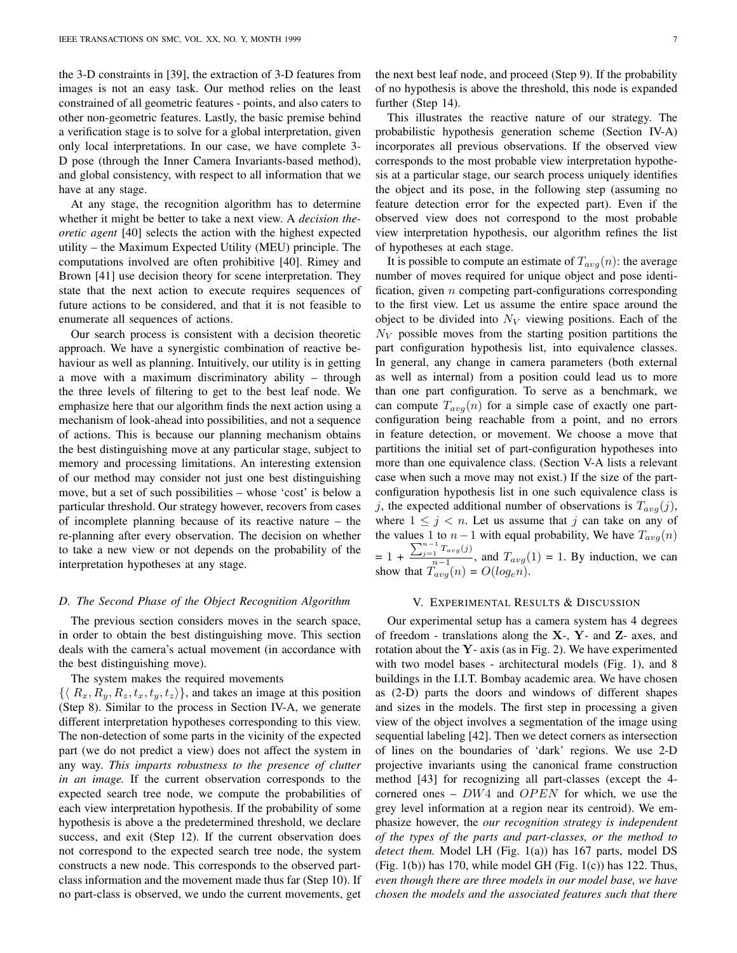the 3-D constraints in [39], the extraction of 3-D features from images is not an easy task. Our method relies on the least constrained of all geometric features - points, and also caters to other non-geometric features. Lastly, the basic premise behind a verification stage is to solve for a global interpretation, given only local interpretations. In our case, we have complete 3- D pose (through the Inner Camera Invariants-based method), and global consistency, with respect to all information that we have at any stage.

At any stage, the recognition algorithm has to determine whether it might be better to take a next view. A *decision theoretic agent* [40] selects the action with the highest expected utility – the Maximum Expected Utility (MEU) principle. The computations involved are often prohibitive [40]. Rimey and Brown [41] use decision theory for scene interpretation. They state that the next action to execute requires sequences of future actions to be considered, and that it is not feasible to enumerate all sequences of actions.

Our search process is consistent with a decision theoretic approach. We have a synergistic combination of reactive behaviour as well as planning. Intuitively, our utility is in getting a move with a maximum discriminatory ability – through the three levels of filtering to get to the best leaf node. We emphasize here that our algorithm finds the next action using a mechanism of look-ahead into possibilities, and not a sequence of actions. This is because our planning mechanism obtains the best distinguishing move at any particular stage, subject to memory and processing limitations. An interesting extension of our method may consider not just one best distinguishing move, but a set of such possibilities – whose 'cost' is below a particular threshold. Our strategy however, recovers from cases of incomplete planning because of its reactive nature – the re-planning after every observation. The decision on whether to take a new view or not depends on the probability of the interpretation hypotheses at any stage.

# *D. The Second Phase of the Object Recognition Algorithm*

The previous section considers moves in the search space, in order to obtain the best distinguishing move. This section deals with the camera's actual movement (in accordance with the best distinguishing move).

#### The system makes the required movements

 $\{ \langle R_x, R_y, R_z, t_x, t_y, t_z \rangle \}$ , and takes an image at this position (Step 8). Similar to the process in Section IV-A, we generate different interpretation hypotheses corresponding to this view. The non-detection of some parts in the vicinity of the expected part (we do not predict a view) does not affect the system in any way. *This imparts robustness to the presence of clutter in an image.* If the current observation corresponds to the expected search tree node, we compute the probabilities of each view interpretation hypothesis. If the probability of some hypothesis is above a the predetermined threshold, we declare success, and exit (Step 12). If the current observation does not correspond to the expected search tree node, the system constructs a new node. This corresponds to the observed partclass information and the movement made thus far (Step 10). If no part-class is observed, we undo the current movements, get the next best leaf node, and proceed (Step 9). If the probability of no hypothesis is above the threshold, this node is expanded further (Step 14).

This illustrates the reactive nature of our strategy. The probabilistic hypothesis generation scheme (Section IV-A) incorporates all previous observations. If the observed view corresponds to the most probable view interpretation hypothesis at a particular stage, our search process uniquely identifies the object and its pose, in the following step (assuming no feature detection error for the expected part). Even if the observed view does not correspond to the most probable view interpretation hypothesis, our algorithm refines the list of hypotheses at each stage.

It is possible to compute an estimate of  $T_{avg}(n)$ : the average number of moves required for unique object and pose identification, given  $n$  competing part-configurations corresponding to the first view. Let us assume the entire space around the object to be divided into  $N_V$  viewing positions. Each of the  $N_V$  possible moves from the starting position partitions the part configuration hypothesis list, into equivalence classes. In general, any change in camera parameters (both external as well as internal) from a position could lead us to more than one part configuration. To serve as a benchmark, we can compute  $T_{avg}(n)$  for a simple case of exactly one partconfiguration being reachable from a point, and no errors in feature detection, or movement. We choose a move that partitions the initial set of part-configuration hypotheses into more than one equivalence class. (Section V-A lists a relevant case when such a move may not exist.) If the size of the partconfiguration hypothesis list in one such equivalence class is j, the expected additional number of observations is  $T_{avg}(j)$ , where  $1 \leq j \leq n$ . Let us assume that j can take on any of the values 1 to  $n-1$  with equal probability, We have  $T_{avg}(n)$  $= 1 + \frac{\sum_{j=1}^{n-1} T_{avg}(j)}{n-1}$  $\frac{1}{n-1}$ , and  $T_{avg}(1) = 1$ . By induction, we can show that  $T_{avg}(n) = O(log_e n)$ .

#### V. EXPERIMENTAL RESULTS & DISCUSSION

Our experimental setup has a camera system has 4 degrees of freedom - translations along the  $X-$ ,  $Y-$  and  $Z-$  axes, and rotation about the  $Y$ - axis (as in Fig. 2). We have experimented with two model bases - architectural models (Fig. 1), and 8 buildings in the I.I.T. Bombay academic area. We have chosen as (2-D) parts the doors and windows of different shapes and sizes in the models. The first step in processing a given view of the object involves a segmentation of the image using sequential labeling [42]. Then we detect corners as intersection of lines on the boundaries of 'dark' regions. We use 2-D projective invariants using the canonical frame construction method [43] for recognizing all part-classes (except the 4 cornered ones –  $DW4$  and  $OPEN$  for which, we use the grey level information at a region near its centroid). We emphasize however, the *our recognition strategy is independent of the types of the parts and part-classes, or the method to detect them.* Model LH (Fig. 1(a)) has 167 parts, model DS (Fig.  $1(b)$ ) has 170, while model GH (Fig.  $1(c)$ ) has 122. Thus, *even though there are three models in our model base, we have chosen the models and the associated features such that there*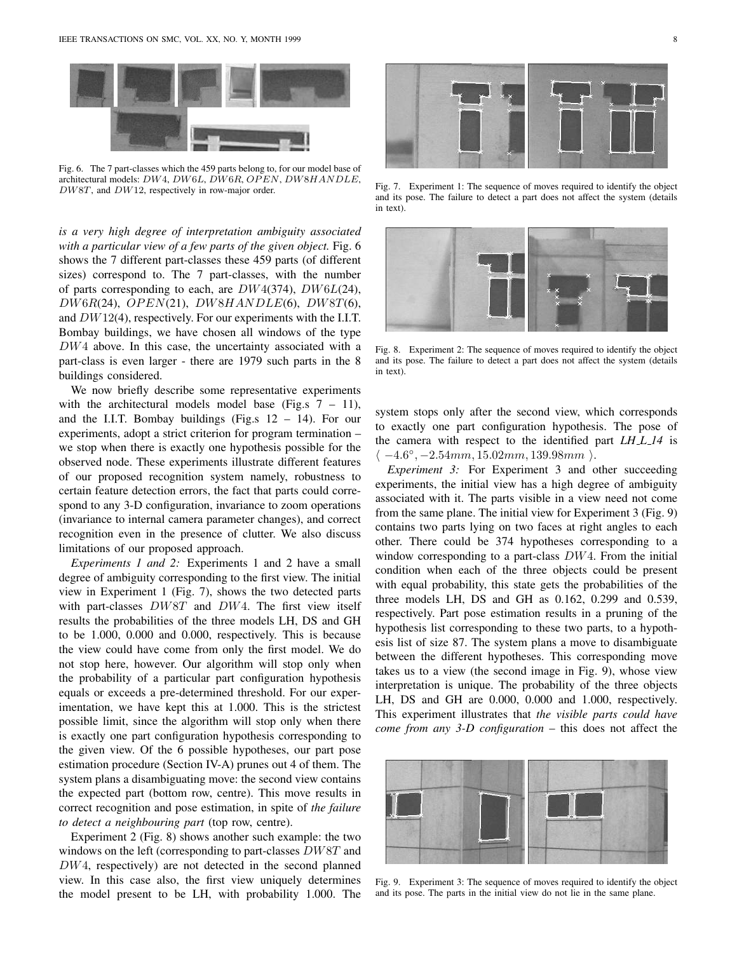

Fig. 6. The 7 part-classes which the 459 parts belong to, for our model base of architectural models: DW4, DW6L, DW6R, OPEN, DW8HANDLE, DW8T, and DW12, respectively in row-major order.

*is a very high degree of interpretation ambiguity associated with a particular view of a few parts of the given object.* Fig. 6 shows the 7 different part-classes these 459 parts (of different sizes) correspond to. The 7 part-classes, with the number of parts corresponding to each, are  $DW4(374)$ ,  $DW6L(24)$ ,  $DW6R(24),$   $OPEN(21),$   $DW8HANDLE(6),$   $DW8T(6),$ and DW12(4), respectively. For our experiments with the I.I.T. Bombay buildings, we have chosen all windows of the type DW4 above. In this case, the uncertainty associated with a part-class is even larger - there are 1979 such parts in the 8 buildings considered.

We now briefly describe some representative experiments with the architectural models model base (Fig.s  $7 - 11$ ), and the I.I.T. Bombay buildings (Fig.s  $12 - 14$ ). For our experiments, adopt a strict criterion for program termination – we stop when there is exactly one hypothesis possible for the observed node. These experiments illustrate different features of our proposed recognition system namely, robustness to certain feature detection errors, the fact that parts could correspond to any 3-D configuration, invariance to zoom operations (invariance to internal camera parameter changes), and correct recognition even in the presence of clutter. We also discuss limitations of our proposed approach.

*Experiments 1 and 2:* Experiments 1 and 2 have a small degree of ambiguity corresponding to the first view. The initial view in Experiment 1 (Fig. 7), shows the two detected parts with part-classes DW8T and DW4. The first view itself results the probabilities of the three models LH, DS and GH to be 1.000, 0.000 and 0.000, respectively. This is because the view could have come from only the first model. We do not stop here, however. Our algorithm will stop only when the probability of a particular part configuration hypothesis equals or exceeds a pre-determined threshold. For our experimentation, we have kept this at 1.000. This is the strictest possible limit, since the algorithm will stop only when there is exactly one part configuration hypothesis corresponding to the given view. Of the 6 possible hypotheses, our part pose estimation procedure (Section IV-A) prunes out 4 of them. The system plans a disambiguating move: the second view contains the expected part (bottom row, centre). This move results in correct recognition and pose estimation, in spite of *the failure to detect a neighbouring part* (top row, centre).

Experiment 2 (Fig. 8) shows another such example: the two windows on the left (corresponding to part-classes DW8T and DW4, respectively) are not detected in the second planned view. In this case also, the first view uniquely determines the model present to be LH, with probability 1.000. The



Fig. 7. Experiment 1: The sequence of moves required to identify the object and its pose. The failure to detect a part does not affect the system (details in text).



Fig. 8. Experiment 2: The sequence of moves required to identify the object and its pose. The failure to detect a part does not affect the system (details in text).

system stops only after the second view, which corresponds to exactly one part configuration hypothesis. The pose of the camera with respect to the identified part *LH\_L\_14* is  $\langle -4.6^{\circ}, -2.54mm, 15.02mm, 139.98mm \rangle$ .

*Experiment 3:* For Experiment 3 and other succeeding experiments, the initial view has a high degree of ambiguity associated with it. The parts visible in a view need not come from the same plane. The initial view for Experiment 3 (Fig. 9) contains two parts lying on two faces at right angles to each other. There could be 374 hypotheses corresponding to a window corresponding to a part-class  $DW4$ . From the initial condition when each of the three objects could be present with equal probability, this state gets the probabilities of the three models LH, DS and GH as 0.162, 0.299 and 0.539, respectively. Part pose estimation results in a pruning of the hypothesis list corresponding to these two parts, to a hypothesis list of size 87. The system plans a move to disambiguate between the different hypotheses. This corresponding move takes us to a view (the second image in Fig. 9), whose view interpretation is unique. The probability of the three objects LH, DS and GH are 0.000, 0.000 and 1.000, respectively. This experiment illustrates that *the visible parts could have come from any 3-D configuration* – this does not affect the



Fig. 9. Experiment 3: The sequence of moves required to identify the object and its pose. The parts in the initial view do not lie in the same plane.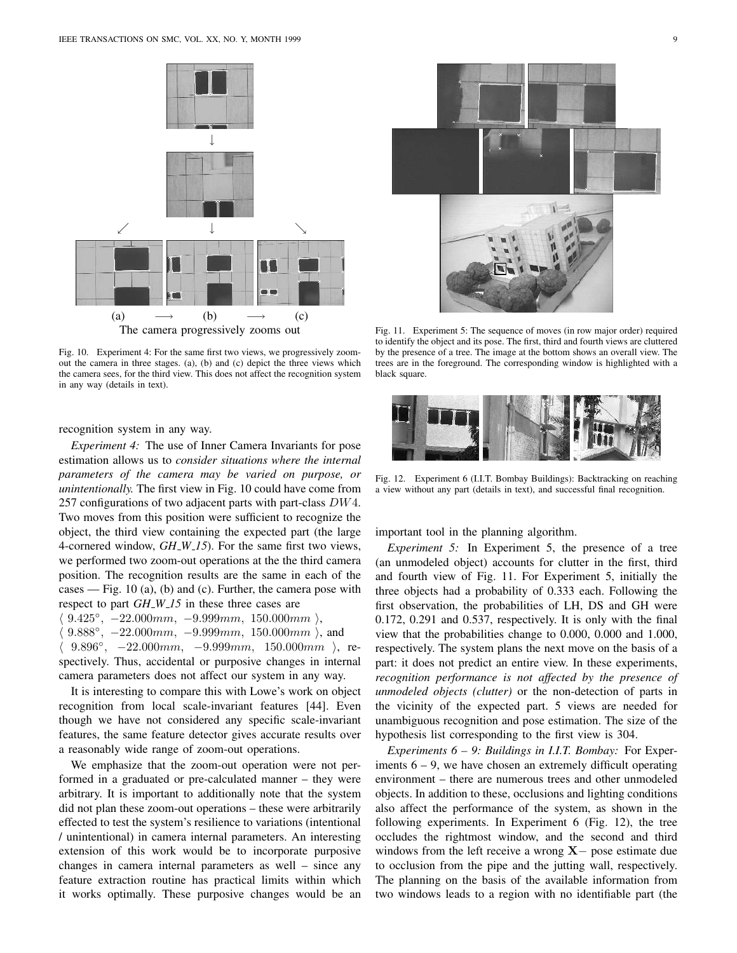

Fig. 10. Experiment 4: For the same first two views, we progressively zoomout the camera in three stages. (a), (b) and (c) depict the three views which the camera sees, for the third view. This does not affect the recognition system in any way (details in text).

recognition system in any way.

*Experiment 4:* The use of Inner Camera Invariants for pose estimation allows us to *consider situations where the internal parameters of the camera may be varied on purpose, or unintentionally.* The first view in Fig. 10 could have come from 257 configurations of two adjacent parts with part-class  $DW4$ . Two moves from this position were sufficient to recognize the object, the third view containing the expected part (the large 4-cornered window, *GH W 15*). For the same first two views, we performed two zoom-out operations at the the third camera position. The recognition results are the same in each of the cases — Fig. 10 (a), (b) and (c). Further, the camera pose with respect to part *GH\_W\_15* in these three cases are

 $\langle 9.425^\circ, -22.000mm, -9.999mm, 150.000mm \rangle,$  $\langle 9.888°, -22.000mm, -9.999mm, 150.000mm \rangle$ , and  $\langle 9.896°, -22.000mm, -9.999mm, 150.000mm \rangle$ , respectively. Thus, accidental or purposive changes in internal camera parameters does not affect our system in any way.

It is interesting to compare this with Lowe's work on object recognition from local scale-invariant features [44]. Even though we have not considered any specific scale-invariant features, the same feature detector gives accurate results over a reasonably wide range of zoom-out operations.

We emphasize that the zoom-out operation were not performed in a graduated or pre-calculated manner – they were arbitrary. It is important to additionally note that the system did not plan these zoom-out operations – these were arbitrarily effected to test the system's resilience to variations (intentional / unintentional) in camera internal parameters. An interesting extension of this work would be to incorporate purposive changes in camera internal parameters as well – since any feature extraction routine has practical limits within which it works optimally. These purposive changes would be an



Fig. 11. Experiment 5: The sequence of moves (in row major order) required to identify the object and its pose. The first, third and fourth views are cluttered by the presence of a tree. The image at the bottom shows an overall view. The trees are in the foreground. The corresponding window is highlighted with a black square.



Fig. 12. Experiment 6 (I.I.T. Bombay Buildings): Backtracking on reaching a view without any part (details in text), and successful final recognition.

important tool in the planning algorithm.

*Experiment 5:* In Experiment 5, the presence of a tree (an unmodeled object) accounts for clutter in the first, third and fourth view of Fig. 11. For Experiment 5, initially the three objects had a probability of 0.333 each. Following the first observation, the probabilities of LH, DS and GH were 0.172, 0.291 and 0.537, respectively. It is only with the final view that the probabilities change to 0.000, 0.000 and 1.000, respectively. The system plans the next move on the basis of a part: it does not predict an entire view. In these experiments, *recognition performance is not affected by the presence of unmodeled objects (clutter)* or the non-detection of parts in the vicinity of the expected part. 5 views are needed for unambiguous recognition and pose estimation. The size of the hypothesis list corresponding to the first view is 304.

*Experiments 6 – 9: Buildings in I.I.T. Bombay:* For Experiments  $6 - 9$ , we have chosen an extremely difficult operating environment – there are numerous trees and other unmodeled objects. In addition to these, occlusions and lighting conditions also affect the performance of the system, as shown in the following experiments. In Experiment 6 (Fig. 12), the tree occludes the rightmost window, and the second and third windows from the left receive a wrong  $X-$  pose estimate due to occlusion from the pipe and the jutting wall, respectively. The planning on the basis of the available information from two windows leads to a region with no identifiable part (the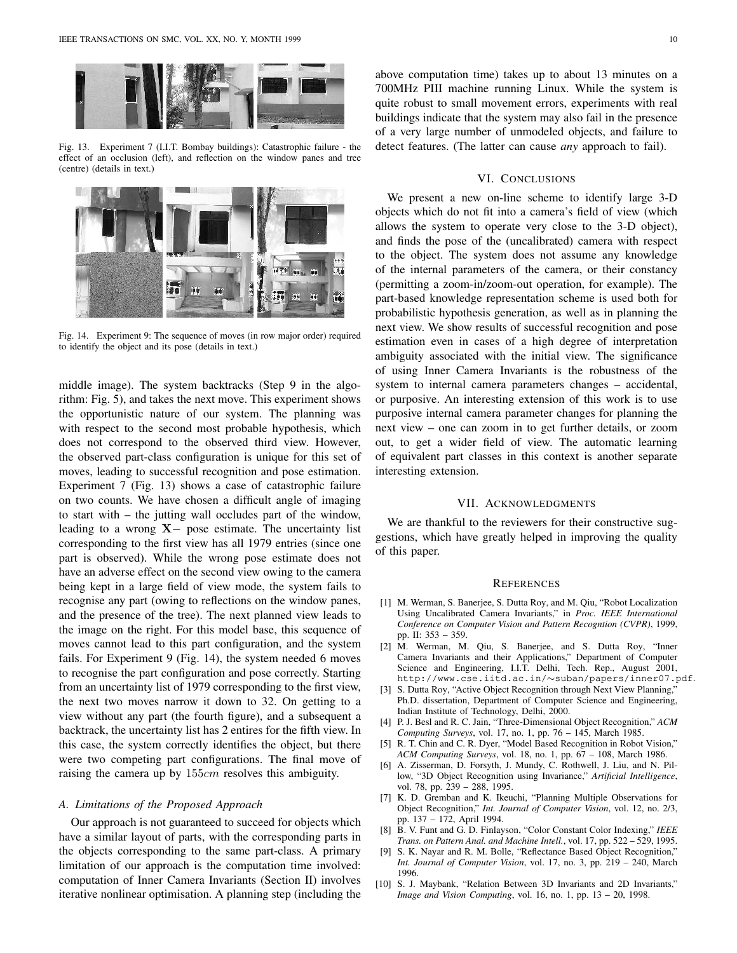

Fig. 13. Experiment 7 (I.I.T. Bombay buildings): Catastrophic failure - the effect of an occlusion (left), and reflection on the window panes and tree (centre) (details in text.)



Fig. 14. Experiment 9: The sequence of moves (in row major order) required to identify the object and its pose (details in text.)

middle image). The system backtracks (Step 9 in the algorithm: Fig. 5), and takes the next move. This experiment shows the opportunistic nature of our system. The planning was with respect to the second most probable hypothesis, which does not correspond to the observed third view. However, the observed part-class configuration is unique for this set of moves, leading to successful recognition and pose estimation. Experiment 7 (Fig. 13) shows a case of catastrophic failure on two counts. We have chosen a difficult angle of imaging to start with – the jutting wall occludes part of the window, leading to a wrong  $X-$  pose estimate. The uncertainty list corresponding to the first view has all 1979 entries (since one part is observed). While the wrong pose estimate does not have an adverse effect on the second view owing to the camera being kept in a large field of view mode, the system fails to recognise any part (owing to reflections on the window panes, and the presence of the tree). The next planned view leads to the image on the right. For this model base, this sequence of moves cannot lead to this part configuration, and the system fails. For Experiment 9 (Fig. 14), the system needed 6 moves to recognise the part configuration and pose correctly. Starting from an uncertainty list of 1979 corresponding to the first view, the next two moves narrow it down to 32. On getting to a view without any part (the fourth figure), and a subsequent a backtrack, the uncertainty list has 2 entires for the fifth view. In this case, the system correctly identifies the object, but there were two competing part configurations. The final move of raising the camera up by 155cm resolves this ambiguity.

#### *A. Limitations of the Proposed Approach*

Our approach is not guaranteed to succeed for objects which have a similar layout of parts, with the corresponding parts in the objects corresponding to the same part-class. A primary limitation of our approach is the computation time involved: computation of Inner Camera Invariants (Section II) involves iterative nonlinear optimisation. A planning step (including the

above computation time) takes up to about 13 minutes on a 700MHz PIII machine running Linux. While the system is quite robust to small movement errors, experiments with real buildings indicate that the system may also fail in the presence of a very large number of unmodeled objects, and failure to detect features. (The latter can cause *any* approach to fail).

# VI. CONCLUSIONS

We present a new on-line scheme to identify large 3-D objects which do not fit into a camera's field of view (which allows the system to operate very close to the 3-D object), and finds the pose of the (uncalibrated) camera with respect to the object. The system does not assume any knowledge of the internal parameters of the camera, or their constancy (permitting a zoom-in/zoom-out operation, for example). The part-based knowledge representation scheme is used both for probabilistic hypothesis generation, as well as in planning the next view. We show results of successful recognition and pose estimation even in cases of a high degree of interpretation ambiguity associated with the initial view. The significance of using Inner Camera Invariants is the robustness of the system to internal camera parameters changes – accidental, or purposive. An interesting extension of this work is to use purposive internal camera parameter changes for planning the next view – one can zoom in to get further details, or zoom out, to get a wider field of view. The automatic learning of equivalent part classes in this context is another separate interesting extension.

#### VII. ACKNOWLEDGMENTS

We are thankful to the reviewers for their constructive suggestions, which have greatly helped in improving the quality of this paper.

#### **REFERENCES**

- [1] M. Werman, S. Banerjee, S. Dutta Roy, and M. Qiu, "Robot Localization Using Uncalibrated Camera Invariants," in *Proc. IEEE International Conference on Computer Vision and Pattern Recogntion (CVPR)*, 1999, pp. II: 353 – 359.
- [2] M. Werman, M. Qiu, S. Banerjee, and S. Dutta Roy, "Inner Camera Invariants and their Applications," Department of Computer Science and Engineering, I.I.T. Delhi, Tech. Rep., August 2001, http://www.cse.iitd.ac.in/∼suban/papers/inner07.pdf.
- [3] S. Dutta Roy, "Active Object Recognition through Next View Planning," Ph.D. dissertation, Department of Computer Science and Engineering, Indian Institute of Technology, Delhi, 2000.
- [4] P. J. Besl and R. C. Jain, "Three-Dimensional Object Recognition," *ACM Computing Surveys*, vol. 17, no. 1, pp. 76 – 145, March 1985.
- [5] R. T. Chin and C. R. Dyer, "Model Based Recognition in Robot Vision," *ACM Computing Surveys*, vol. 18, no. 1, pp. 67 – 108, March 1986.
- [6] A. Zisserman, D. Forsyth, J. Mundy, C. Rothwell, J. Liu, and N. Pillow, "3D Object Recognition using Invariance," *Artificial Intelligence*, vol. 78, pp. 239 – 288, 1995.
- [7] K. D. Gremban and K. Ikeuchi, "Planning Multiple Observations for Object Recognition," *Int. Journal of Computer Vision*, vol. 12, no. 2/3, pp. 137 – 172, April 1994.
- [8] B. V. Funt and G. D. Finlayson, "Color Constant Color Indexing," *IEEE Trans. on Pattern Anal. and Machine Intell.*, vol. 17, pp. 522 – 529, 1995.
- [9] S. K. Nayar and R. M. Bolle, "Reflectance Based Object Recognition," *Int. Journal of Computer Vision*, vol. 17, no. 3, pp. 219 – 240, March 1996.
- [10] S. J. Maybank, "Relation Between 3D Invariants and 2D Invariants." *Image and Vision Computing*, vol. 16, no. 1, pp. 13 – 20, 1998.